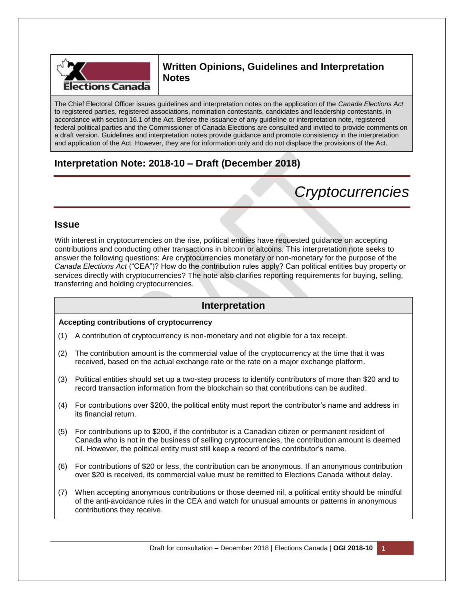

# **Written Opinions, Guidelines and Interpretation Notes**

The Chief Electoral Officer issues guidelines and interpretation notes on the application of the *Canada Elections Act* to registered parties, registered associations, nomination contestants, candidates and leadership contestants, in accordance with section 16.1 of the Act. Before the issuance of any guideline or interpretation note, registered federal political parties and the Commissioner of Canada Elections are consulted and invited to provide comments on a draft version. Guidelines and interpretation notes provide guidance and promote consistency in the interpretation and application of the Act. However, they are for information only and do not displace the provisions of the Act.

# **Interpretation Note: 2018-10 – Draft (December 2018)**

# *Cryptocurrencies*

### **Issue**

With interest in cryptocurrencies on the rise, political entities have requested guidance on accepting contributions and conducting other transactions in bitcoin or altcoins. This interpretation note seeks to answer the following questions: Are cryptocurrencies monetary or non-monetary for the purpose of the *Canada Elections Act* ("CEA")? How do the contribution rules apply? Can political entities buy property or services directly with cryptocurrencies? The note also clarifies reporting requirements for buying, selling, transferring and holding cryptocurrencies.

## **Interpretation**

#### **Accepting contributions of cryptocurrency**

- (1) A contribution of cryptocurrency is non-monetary and not eligible for a tax receipt.
- (2) The contribution amount is the commercial value of the cryptocurrency at the time that it was received, based on the actual exchange rate or the rate on a major exchange platform.
- (3) Political entities should set up a two-step process to identify contributors of more than \$20 and to record transaction information from the blockchain so that contributions can be audited.
- (4) For contributions over \$200, the political entity must report the contributor's name and address in its financial return.
- (5) For contributions up to \$200, if the contributor is a Canadian citizen or permanent resident of Canada who is not in the business of selling cryptocurrencies, the contribution amount is deemed nil. However, the political entity must still keep a record of the contributor's name.
- (6) For contributions of \$20 or less, the contribution can be anonymous. If an anonymous contribution over \$20 is received, its commercial value must be remitted to Elections Canada without delay.
- (7) When accepting anonymous contributions or those deemed nil, a political entity should be mindful of the anti-avoidance rules in the CEA and watch for unusual amounts or patterns in anonymous contributions they receive.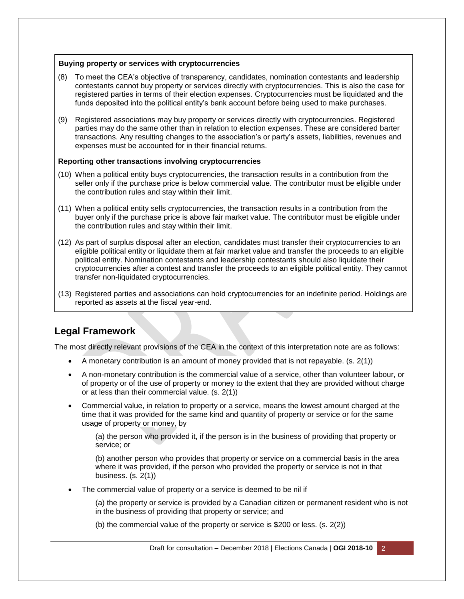#### **Buying property or services with cryptocurrencies**

- (8) To meet the CEA's objective of transparency, candidates, nomination contestants and leadership contestants cannot buy property or services directly with cryptocurrencies. This is also the case for registered parties in terms of their election expenses. Cryptocurrencies must be liquidated and the funds deposited into the political entity's bank account before being used to make purchases.
- (9) Registered associations may buy property or services directly with cryptocurrencies. Registered parties may do the same other than in relation to election expenses. These are considered barter transactions. Any resulting changes to the association's or party's assets, liabilities, revenues and expenses must be accounted for in their financial returns.

#### **Reporting other transactions involving cryptocurrencies**

- (10) When a political entity buys cryptocurrencies, the transaction results in a contribution from the seller only if the purchase price is below commercial value. The contributor must be eligible under the contribution rules and stay within their limit.
- (11) When a political entity sells cryptocurrencies, the transaction results in a contribution from the buyer only if the purchase price is above fair market value. The contributor must be eligible under the contribution rules and stay within their limit.
- (12) As part of surplus disposal after an election, candidates must transfer their cryptocurrencies to an eligible political entity or liquidate them at fair market value and transfer the proceeds to an eligible political entity. Nomination contestants and leadership contestants should also liquidate their cryptocurrencies after a contest and transfer the proceeds to an eligible political entity. They cannot transfer non-liquidated cryptocurrencies.
- (13) Registered parties and associations can hold cryptocurrencies for an indefinite period. Holdings are reported as assets at the fiscal year-end.

## **Legal Framework**

The most directly relevant provisions of the CEA in the context of this interpretation note are as follows:

- $\bullet$  A monetary contribution is an amount of money provided that is not repayable. (s. 2(1))
- A non-monetary contribution is the commercial value of a service, other than volunteer labour, or of property or of the use of property or money to the extent that they are provided without charge or at less than their commercial value. (s. 2(1))
- Commercial value, in relation to property or a service, means the lowest amount charged at the time that it was provided for the same kind and quantity of property or service or for the same usage of property or money, by

(a) the person who provided it, if the person is in the business of providing that property or service; or

(b) another person who provides that property or service on a commercial basis in the area where it was provided, if the person who provided the property or service is not in that business. (s. 2(1))

The commercial value of property or a service is deemed to be nil if

(a) the property or service is provided by a Canadian citizen or permanent resident who is not in the business of providing that property or service; and

(b) the commercial value of the property or service is \$200 or less. (s. 2(2))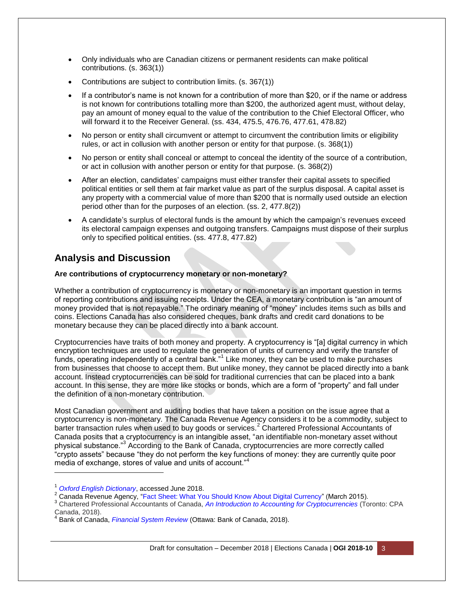- Only individuals who are Canadian citizens or permanent residents can make political contributions. (s. 363(1))
- Contributions are subject to contribution limits. (s. 367(1))
- If a contributor's name is not known for a contribution of more than \$20, or if the name or address is not known for contributions totalling more than \$200, the authorized agent must, without delay, pay an amount of money equal to the value of the contribution to the Chief Electoral Officer, who will forward it to the Receiver General. (ss. 434, 475.5, 476.76, 477.61, 478.82)
- No person or entity shall circumvent or attempt to circumvent the contribution limits or eligibility rules, or act in collusion with another person or entity for that purpose. (s. 368(1))
- No person or entity shall conceal or attempt to conceal the identity of the source of a contribution, or act in collusion with another person or entity for that purpose. (s. 368(2))
- After an election, candidates' campaigns must either transfer their capital assets to specified political entities or sell them at fair market value as part of the surplus disposal. A capital asset is any property with a commercial value of more than \$200 that is normally used outside an election period other than for the purposes of an election. (ss. 2, 477.8(2))
- A candidate's surplus of electoral funds is the amount by which the campaign's revenues exceed its electoral campaign expenses and outgoing transfers. Campaigns must dispose of their surplus only to specified political entities. (ss. 477.8, 477.82)

# **Analysis and Discussion**

#### **Are contributions of cryptocurrency monetary or non-monetary?**

Whether a contribution of cryptocurrency is monetary or non-monetary is an important question in terms of reporting contributions and issuing receipts. Under the CEA, a monetary contribution is "an amount of money provided that is not repayable." The ordinary meaning of "money" includes items such as bills and coins. Elections Canada has also considered cheques, bank drafts and credit card donations to be monetary because they can be placed directly into a bank account.

Cryptocurrencies have traits of both money and property. A cryptocurrency is "[a] digital currency in which encryption techniques are used to regulate the generation of units of currency and verify the transfer of funds, operating independently of a central bank."<sup>1</sup> Like money, they can be used to make purchases from businesses that choose to accept them. But unlike money, they cannot be placed directly into a bank account. Instead cryptocurrencies can be sold for traditional currencies that can be placed into a bank account. In this sense, they are more like stocks or bonds, which are a form of "property" and fall under the definition of a non-monetary contribution.

Most Canadian government and auditing bodies that have taken a position on the issue agree that a cryptocurrency is non-monetary. The Canada Revenue Agency considers it to be a commodity, subject to barter transaction rules when used to buy goods or services.<sup>2</sup> Chartered Professional Accountants of Canada posits that a cryptocurrency is an intangible asset, "an identifiable non-monetary asset without physical substance."<sup>3</sup> According to the Bank of Canada, cryptocurrencies are more correctly called "crypto assets" because "they do not perform the key functions of money: they are currently quite poor media of exchange, stores of value and units of account."<sup>4</sup>

l

<sup>1</sup> *[Oxford English Dictionary](https://en.oxforddictionaries.com/definition/cryptocurrency)*, accessed June 2018.

<sup>2</sup> Canada Revenue Agency, ["Fact Sheet: What You Should Know About Digital Currency"](https://www.canada.ca/en/revenue-agency/news/newsroom/fact-sheets/fact-sheets-2015/what-you-should-know-about-digital-currency.html) (March 2015).

<sup>3</sup> Chartered Professional Accountants of Canada, *[An Introduction to Accounting for Cryptocurrencies](https://www.cpacanada.ca/en/business-and-accounting-resources/financial-and-non-financial-reporting/international-financial-reporting-standards-ifrs/publications/accounting-for-cryptocurrencies-under-ifrs)* (Toronto: CPA Canada, 2018).

<sup>4</sup> Bank of Canada, *[Financial System Review](https://www.bankofcanada.ca/wp-content/uploads/2018/06/fsr-june2018.pdf)* (Ottawa: Bank of Canada, 2018).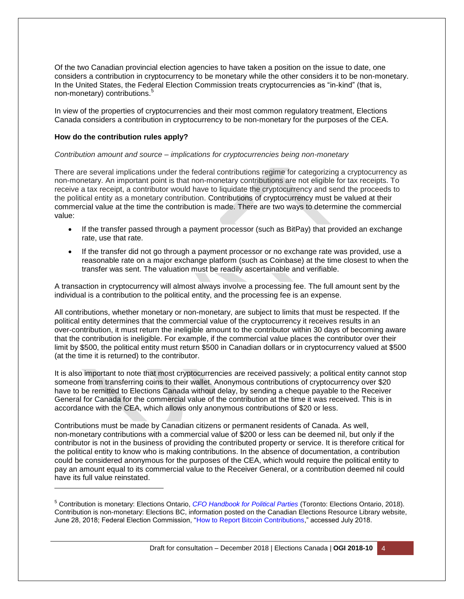Of the two Canadian provincial election agencies to have taken a position on the issue to date, one considers a contribution in cryptocurrency to be monetary while the other considers it to be non-monetary. In the United States, the Federal Election Commission treats cryptocurrencies as "in-kind" (that is, non-monetary) contributions.<sup>5</sup>

In view of the properties of cryptocurrencies and their most common regulatory treatment, Elections Canada considers a contribution in cryptocurrency to be non-monetary for the purposes of the CEA.

#### **How do the contribution rules apply?**

l

#### *Contribution amount and source – implications for cryptocurrencies being non-monetary*

There are several implications under the federal contributions regime for categorizing a cryptocurrency as non-monetary. An important point is that non-monetary contributions are not eligible for tax receipts. To receive a tax receipt, a contributor would have to liquidate the cryptocurrency and send the proceeds to the political entity as a monetary contribution. Contributions of cryptocurrency must be valued at their commercial value at the time the contribution is made. There are two ways to determine the commercial value:

- If the transfer passed through a payment processor (such as BitPay) that provided an exchange rate, use that rate.
- If the transfer did not go through a payment processor or no exchange rate was provided, use a reasonable rate on a major exchange platform (such as Coinbase) at the time closest to when the transfer was sent. The valuation must be readily ascertainable and verifiable.

A transaction in cryptocurrency will almost always involve a processing fee. The full amount sent by the individual is a contribution to the political entity, and the processing fee is an expense.

All contributions, whether monetary or non-monetary, are subject to limits that must be respected. If the political entity determines that the commercial value of the cryptocurrency it receives results in an over-contribution, it must return the ineligible amount to the contributor within 30 days of becoming aware that the contribution is ineligible. For example, if the commercial value places the contributor over their limit by \$500, the political entity must return \$500 in Canadian dollars or in cryptocurrency valued at \$500 (at the time it is returned) to the contributor.

It is also important to note that most cryptocurrencies are received passively; a political entity cannot stop someone from transferring coins to their wallet. Anonymous contributions of cryptocurrency over \$20 have to be remitted to Elections Canada without delay, by sending a cheque payable to the Receiver General for Canada for the commercial value of the contribution at the time it was received. This is in accordance with the CEA, which allows only anonymous contributions of \$20 or less.

Contributions must be made by Canadian citizens or permanent residents of Canada. As well, non-monetary contributions with a commercial value of \$200 or less can be deemed nil, but only if the contributor is not in the business of providing the contributed property or service. It is therefore critical for the political entity to know who is making contributions. In the absence of documentation, a contribution could be considered anonymous for the purposes of the CEA, which would require the political entity to pay an amount equal to its commercial value to the Receiver General, or a contribution deemed nil could have its full value reinstated.

<sup>5</sup> Contribution is monetary: Elections Ontario, *[CFO Handbook for Political Parties](https://www.elections.on.ca/content/dam/NGW/sitecontent/Compliance%20Documentation/English/Political%20Parties/CFO%20Handbook%20for%20Political%20Parties.pdf)* (Toronto: Elections Ontario, 2018). Contribution is non-monetary: Elections BC, information posted on the Canadian Elections Resource Library website, June 28, 2018; Federal Election Commission, ["How to Report Bitcoin Contributions,](https://www.fec.gov/help-candidates-and-committees/filing-reports/bitcoin-contributions/)" accessed July 2018.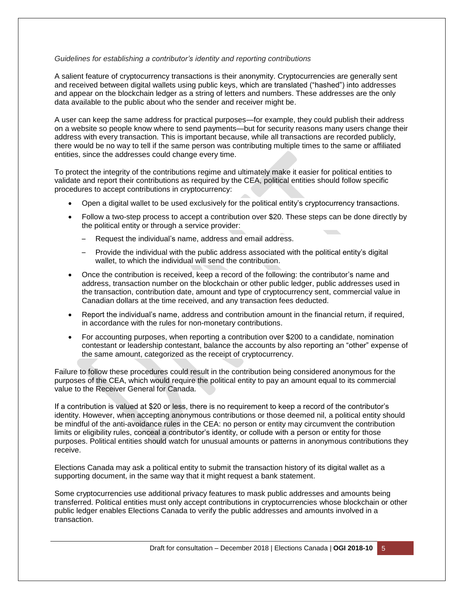#### *Guidelines for establishing a contributor's identity and reporting contributions*

A salient feature of cryptocurrency transactions is their anonymity. Cryptocurrencies are generally sent and received between digital wallets using public keys, which are translated ("hashed") into addresses and appear on the blockchain ledger as a string of letters and numbers. These addresses are the only data available to the public about who the sender and receiver might be.

A user can keep the same address for practical purposes—for example, they could publish their address on a website so people know where to send payments—but for security reasons many users change their address with every transaction. This is important because, while all transactions are recorded publicly, there would be no way to tell if the same person was contributing multiple times to the same or affiliated entities, since the addresses could change every time.

To protect the integrity of the contributions regime and ultimately make it easier for political entities to validate and report their contributions as required by the CEA, political entities should follow specific procedures to accept contributions in cryptocurrency:

- Open a digital wallet to be used exclusively for the political entity's cryptocurrency transactions.
- Follow a two-step process to accept a contribution over \$20. These steps can be done directly by the political entity or through a service provider:
	- Request the individual's name, address and email address.
	- Provide the individual with the public address associated with the political entity's digital wallet, to which the individual will send the contribution.
- Once the contribution is received, keep a record of the following: the contributor's name and address, transaction number on the blockchain or other public ledger, public addresses used in the transaction, contribution date, amount and type of cryptocurrency sent, commercial value in Canadian dollars at the time received, and any transaction fees deducted.
- Report the individual's name, address and contribution amount in the financial return, if required, in accordance with the rules for non-monetary contributions.
- For accounting purposes, when reporting a contribution over \$200 to a candidate, nomination contestant or leadership contestant, balance the accounts by also reporting an "other" expense of the same amount, categorized as the receipt of cryptocurrency.

Failure to follow these procedures could result in the contribution being considered anonymous for the purposes of the CEA, which would require the political entity to pay an amount equal to its commercial value to the Receiver General for Canada.

If a contribution is valued at \$20 or less, there is no requirement to keep a record of the contributor's identity. However, when accepting anonymous contributions or those deemed nil, a political entity should be mindful of the anti-avoidance rules in the CEA: no person or entity may circumvent the contribution limits or eligibility rules, conceal a contributor's identity, or collude with a person or entity for those purposes. Political entities should watch for unusual amounts or patterns in anonymous contributions they receive.

Elections Canada may ask a political entity to submit the transaction history of its digital wallet as a supporting document, in the same way that it might request a bank statement.

Some cryptocurrencies use additional privacy features to mask public addresses and amounts being transferred. Political entities must only accept contributions in cryptocurrencies whose blockchain or other public ledger enables Elections Canada to verify the public addresses and amounts involved in a transaction.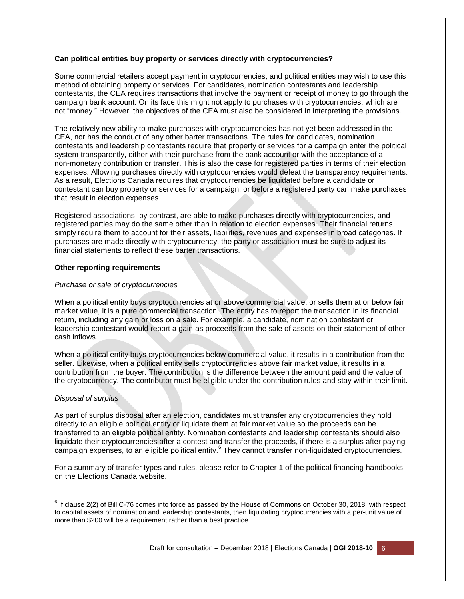#### **Can political entities buy property or services directly with cryptocurrencies?**

Some commercial retailers accept payment in cryptocurrencies, and political entities may wish to use this method of obtaining property or services. For candidates, nomination contestants and leadership contestants, the CEA requires transactions that involve the payment or receipt of money to go through the campaign bank account. On its face this might not apply to purchases with cryptocurrencies, which are not "money." However, the objectives of the CEA must also be considered in interpreting the provisions.

The relatively new ability to make purchases with cryptocurrencies has not yet been addressed in the CEA, nor has the conduct of any other barter transactions. The rules for candidates, nomination contestants and leadership contestants require that property or services for a campaign enter the political system transparently, either with their purchase from the bank account or with the acceptance of a non-monetary contribution or transfer. This is also the case for registered parties in terms of their election expenses. Allowing purchases directly with cryptocurrencies would defeat the transparency requirements. As a result, Elections Canada requires that cryptocurrencies be liquidated before a candidate or contestant can buy property or services for a campaign, or before a registered party can make purchases that result in election expenses.

Registered associations, by contrast, are able to make purchases directly with cryptocurrencies, and registered parties may do the same other than in relation to election expenses. Their financial returns simply require them to account for their assets, liabilities, revenues and expenses in broad categories. If purchases are made directly with cryptocurrency, the party or association must be sure to adjust its financial statements to reflect these barter transactions.

#### **Other reporting requirements**

#### *Purchase or sale of cryptocurrencies*

When a political entity buys cryptocurrencies at or above commercial value, or sells them at or below fair market value, it is a pure commercial transaction. The entity has to report the transaction in its financial return, including any gain or loss on a sale. For example, a candidate, nomination contestant or leadership contestant would report a gain as proceeds from the sale of assets on their statement of other cash inflows.

When a political entity buys cryptocurrencies below commercial value, it results in a contribution from the seller. Likewise, when a political entity sells cryptocurrencies above fair market value, it results in a contribution from the buyer. The contribution is the difference between the amount paid and the value of the cryptocurrency. The contributor must be eligible under the contribution rules and stay within their limit.

#### *Disposal of surplus*

l

As part of surplus disposal after an election, candidates must transfer any cryptocurrencies they hold directly to an eligible political entity or liquidate them at fair market value so the proceeds can be transferred to an eligible political entity. Nomination contestants and leadership contestants should also liquidate their cryptocurrencies after a contest and transfer the proceeds, if there is a surplus after paying campaign expenses, to an eligible political entity.<sup>6</sup> They cannot transfer non-liquidated cryptocurrencies.

For a summary of transfer types and rules, please refer to Chapter 1 of the political financing handbooks on the Elections Canada website.

 $6$  If clause 2(2) of Bill C-76 comes into force as passed by the House of Commons on October 30, 2018, with respect to capital assets of nomination and leadership contestants, then liquidating cryptocurrencies with a per-unit value of more than \$200 will be a requirement rather than a best practice.